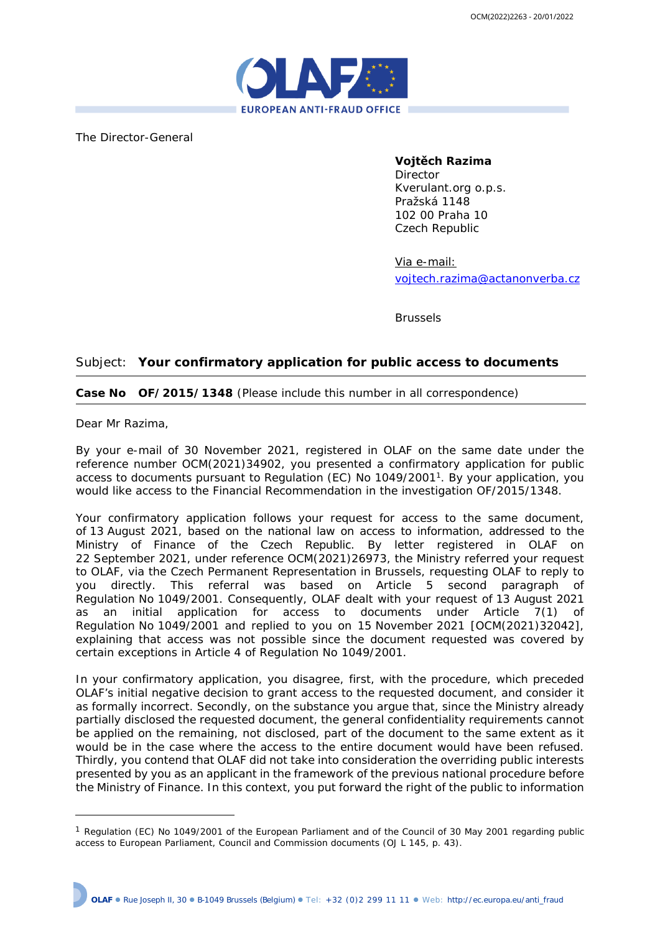

The Director-General

### **Vojtěch Razima**

Director Kverulant.org o.p.s. Pražská 1148 102 00 Praha 10 Czech Republic

Via e-mail: [vojtech.razima@actanonverba.cz](mailto:vojtech.razima@actanonverba.cz)

Brussels

# Subject: **Your confirmatory application for public access to documents**

## **Case No OF/2015/1348** (Please include this number in all correspondence)

Dear Mr Razima,

By your e-mail of 30 November 2021, registered in OLAF on the same date under the reference number OCM(2021)34902, you presented a confirmatory application for public access to documents pursuant to Regulation (EC) No 1049/2001<sup>1</sup>. By your application, you would like access to the Financial Recommendation in the investigation OF/2015/1348.

Your confirmatory application follows your request for access to the same document, of 13 August 2021, based on the national law on access to information, addressed to the Ministry of Finance of the Czech Republic. By letter registered in OLAF on 22 September 2021, under reference OCM(2021)26973, the Ministry referred your request to OLAF, via the Czech Permanent Representation in Brussels, requesting OLAF to reply to you directly. This referral was based on Article 5 second paragraph of Regulation No 1049/2001. Consequently, OLAF dealt with your request of 13 August 2021 as an initial application for access to documents under Article 7(1) of Regulation No 1049/2001 and replied to you on 15 November 2021 [OCM(2021)32042], explaining that access was not possible since the document requested was covered by certain exceptions in Article 4 of Regulation No 1049/2001.

In your confirmatory application, you disagree, first, with the procedure, which preceded OLAF's initial negative decision to grant access to the requested document, and consider it as formally incorrect. Secondly, on the substance you argue that, since the Ministry already partially disclosed the requested document, the general confidentiality requirements cannot be applied on the remaining, not disclosed, part of the document to the same extent as it would be in the case where the access to the entire document would have been refused. Thirdly, you contend that OLAF did not take into consideration the overriding public interests presented by you as an applicant in the framework of the previous national procedure before the Ministry of Finance. In this context, you put forward the right of the public to information

<sup>1</sup> Regulation (EC) No 1049/2001 of the European Parliament and of the Council of 30 May 2001 regarding public access to European Parliament, Council and Commission documents (OJ L 145, p. 43).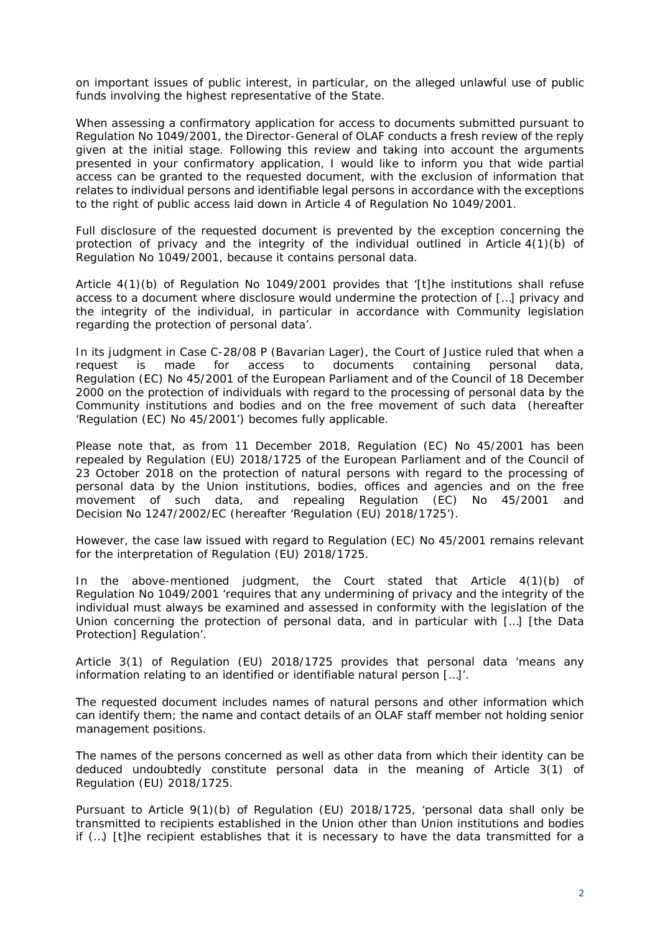on important issues of public interest, in particular, on the alleged unlawful use of public funds involving the highest representative of the State.

When assessing a confirmatory application for access to documents submitted pursuant to Regulation No 1049/2001, the Director-General of OLAF conducts a fresh review of the reply given at the initial stage. Following this review and taking into account the arguments presented in your confirmatory application, I would like to inform you that wide partial access can be granted to the requested document, with the exclusion of information that relates to individual persons and identifiable legal persons in accordance with the exceptions to the right of public access laid down in Article 4 of Regulation No 1049/2001.

Full disclosure of the requested document is prevented by the exception concerning the protection of privacy and the integrity of the individual outlined in Article 4(1)(b) of Regulation No 1049/2001, because it contains personal data.

Article 4(1)(b) of Regulation No 1049/2001 provides that '[*t]he institutions shall refuse access to a document where disclosure would undermine the protection of […] privacy and the integrity of the individual, in particular in accordance with Community legislation regarding the protection of personal data*'.

In its judgment in Case C-28/08 P (*Bavarian Lager*), the Court of Justice ruled that when a request is made for access to documents containing personal data, Regulation (EC) No 45/2001 of the European Parliament and of the Council of 18 December 2000 on the protection of individuals with regard to the processing of personal data by the Community institutions and bodies and on the free movement of such data (hereafter 'Regulation (EC) No 45/2001') becomes fully applicable.

Please note that, as from 11 December 2018, Regulation (EC) No 45/2001 has been repealed by Regulation (EU) 2018/1725 of the European Parliament and of the Council of 23 October 2018 on the protection of natural persons with regard to the processing of personal data by the Union institutions, bodies, offices and agencies and on the free movement of such data, and repealing Regulation (EC) No 45/2001 and Decision No 1247/2002/EC (hereafter 'Regulation (EU) 2018/1725').

However, the case law issued with regard to Regulation (EC) No 45/2001 remains relevant for the interpretation of Regulation (EU) 2018/1725.

In the above-mentioned judgment, the Court stated that Article 4(1)(b) of Regulation No 1049/2001 '*requires that any undermining of privacy and the integrity of the*  individual must always be examined and assessed in conformity with the legislation of the *Union concerning the protection of personal data, and in particular with […] [the Data Protection] Regulation*'.

Article 3(1) of Regulation (EU) 2018/1725 provides that personal data '*means any information relating to an identified or identifiable natural person […]*'.

The requested document includes names of natural persons and other information which can identify them; the name and contact details of an OLAF staff member not holding senior management positions.

The names of the persons concerned as well as other data from which their identity can be deduced undoubtedly constitute personal data in the meaning of Article 3(1) of Regulation (EU) 2018/1725.

Pursuant to Article 9(1)(b) of Regulation (EU) 2018/1725, '*personal data shall only be transmitted to recipients established in the Union other than Union institutions and bodies if (...)* [t]he recipient establishes that it is necessary to have the data transmitted for a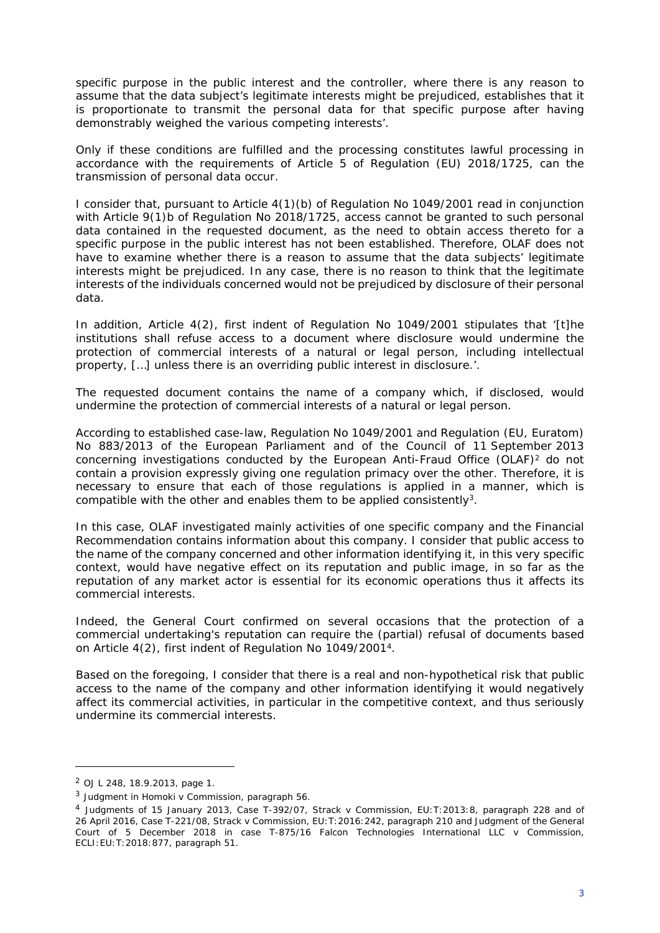*specific purpose in the public interest and the controller, where there is any reason to assume that the data subject's legitimate interests might be prejudiced, establishes that it is proportionate to transmit the personal data for that specific purpose after having demonstrably weighed the various competing interests*'.

Only if these conditions are fulfilled and the processing constitutes lawful processing in accordance with the requirements of Article 5 of Regulation (EU) 2018/1725, can the transmission of personal data occur.

I consider that, pursuant to Article 4(1)(b) of Regulation No 1049/2001 read in conjunction with Article 9(1)b of Regulation No 2018/1725, access cannot be granted to such personal data contained in the requested document, as the need to obtain access thereto for a specific purpose in the public interest has not been established. Therefore, OLAF does not have to examine whether there is a reason to assume that the data subjects' legitimate interests might be prejudiced. In any case, there is no reason to think that the legitimate interests of the individuals concerned would not be prejudiced by disclosure of their personal data.

In addition, Article 4(2), first indent of Regulation No 1049/2001 stipulates that *'[t]he institutions shall refuse access to a document where disclosure would undermine the protection of commercial interests of a natural or legal person, including intellectual property, […] unless there is an overriding public interest in disclosure.*'.

The requested document contains the name of a company which, if disclosed, would undermine the protection of commercial interests of a natural or legal person.

According to established case-law, Regulation No 1049/2001 and Regulation (EU, Euratom) No 883/2013 of the European Parliament and of the Council of 11 September 2013 concerning investigations conducted by the European Anti-Fraud Office (OLAF)<sup>2</sup> do not contain a provision expressly giving one regulation primacy over the other. Therefore, it is necessary to ensure that each of those regulations is applied in a manner, which is compatible with the other and enables them to be applied consistently<sup>3</sup>.

In this case, OLAF investigated mainly activities of one specific company and the Financial Recommendation contains information about this company. I consider that public access to the name of the company concerned and other information identifying it, in this very specific context, would have negative effect on its reputation and public image, in so far as the reputation of any market actor is essential for its economic operations thus it affects its commercial interests.

Indeed, the General Court confirmed on several occasions that the protection of a commercial undertaking's reputation can require the (partial) refusal of documents based on Article 4(2), first indent of Regulation No 1049/2001<sup>4</sup>.

Based on the foregoing, I consider that there is a real and non-hypothetical risk that public access to the name of the company and other information identifying it would negatively affect its commercial activities, in particular in the competitive context, and thus seriously undermine its commercial interests.

<sup>2</sup> OJ L 248, 18.9.2013, page 1.

<sup>3</sup> Judgment in *Homoki v Commission*, paragraph 56.

<sup>4</sup> Judgments of 15 January 2013, Case T-392/07, *Strack v Commission,* EU:T:2013:8, paragraph 228 and of 26 April 2016, Case T-221/08, *Strack v Commission,* EU:T:2016:242, paragraph 210 and Judgment of the General Court of 5 December 2018 in case T-875/16 *Falcon Technologies International LLC v Commission*, ECLI:EU:T:2018:877, paragraph 51.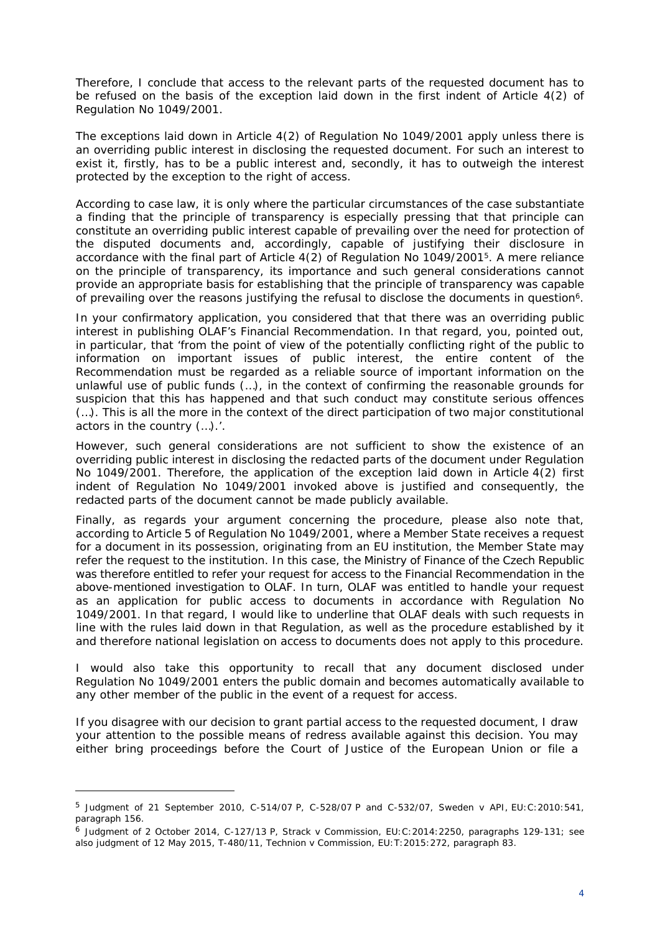Therefore, I conclude that access to the relevant parts of the requested document has to be refused on the basis of the exception laid down in the first indent of Article 4(2) of Regulation No 1049/2001.

The exceptions laid down in Article 4(2) of Regulation No 1049/2001 apply unless there is an overriding public interest in disclosing the requested document. For such an interest to exist it, firstly, has to be a public interest and, secondly, it has to outweigh the interest protected by the exception to the right of access.

According to case law, it is only where the particular circumstances of the case substantiate a finding that the principle of transparency is especially pressing that that principle can constitute an overriding public interest capable of prevailing over the need for protection of the disputed documents and, accordingly, capable of justifying their disclosure in accordance with the final part of Article 4(2) of Regulation No 1049/2001<sup>5</sup>. A mere reliance on the principle of transparency, its importance and such general considerations cannot provide an appropriate basis for establishing that the principle of transparency was capable of prevailing over the reasons justifying the refusal to disclose the documents in question<sup>6</sup>.

In your confirmatory application, you considered that that there was an overriding public interest in publishing OLAF's Financial Recommendation. In that regard, you, pointed out, in particular, that '*from the point of view of the potentially conflicting right of the public to*  information on important issues of public interest, the entire content of the *Recommendation must be regarded as a reliable source of important information on the unlawful use of public funds (…), in the context of confirming the reasonable grounds for suspicion that this has happened and that such conduct may constitute serious offences (…). This is all the more in the context of the direct participation of two major constitutional actors in the country (…).*'*.*

However, such general considerations are not sufficient to show the existence of an overriding public interest in disclosing the redacted parts of the document under Regulation No 1049/2001. Therefore, the application of the exception laid down in Article 4(2) first indent of Regulation No 1049/2001 invoked above is justified and consequently, the redacted parts of the document cannot be made publicly available.

Finally, as regards your argument concerning the procedure, please also note that, according to Article 5 of Regulation No 1049/2001, where a Member State receives a request for a document in its possession, originating from an EU institution, the Member State may refer the request to the institution. In this case, the Ministry of Finance of the Czech Republic was therefore entitled to refer your request for access to the Financial Recommendation in the above-mentioned investigation to OLAF. In turn, OLAF was entitled to handle your request as an application for public access to documents in accordance with Regulation No 1049/2001. In that regard, I would like to underline that OLAF deals with such requests in line with the rules laid down in that Regulation, as well as the procedure established by it and therefore national legislation on access to documents does not apply to this procedure.

I would also take this opportunity to recall that any document disclosed under Regulation No 1049/2001 enters the public domain and becomes automatically available to any other member of the public in the event of a request for access.

If you disagree with our decision to grant partial access to the requested document, I draw your attention to the possible means of redress available against this decision. You may either bring proceedings before the Court of Justice of the European Union or file a

<sup>5</sup> Judgment of 21 September 2010, C-514/07 P, C-528/07 P and C-532/07*, Sweden v API*, EU:C:2010:541, paragraph 156.

<sup>6</sup> Judgment of 2 October 2014, C-127/13 P, *Strack v Commission*, EU:C:2014:2250, paragraphs 129-131; see also judgment of 12 May 2015, T-480/11, *Technion v Commission*, EU:T:2015:272, paragraph 83.